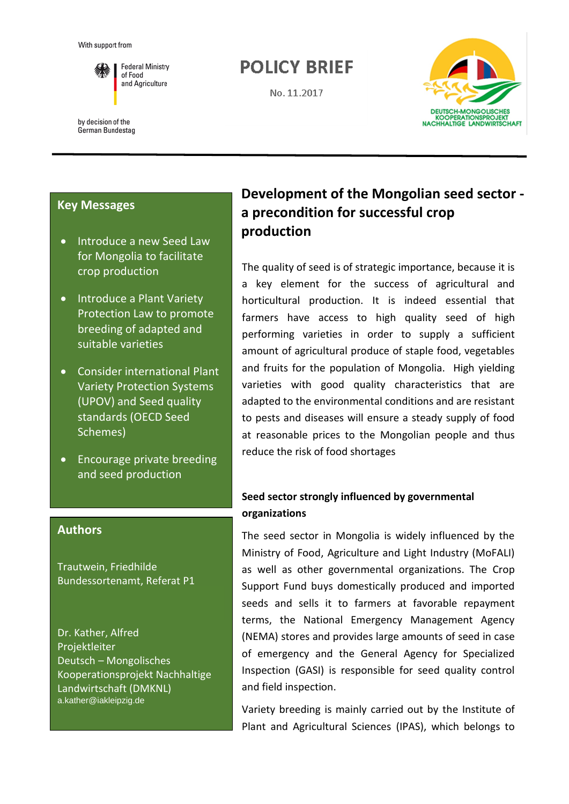

**Federal Ministry** of Food and Agriculture

by decision of the German Bundestag

# **POLICY BRIEF**

No. 11.2017



## **Key Messages**

- Introduce a new Seed Law for Mongolia to facilitate crop production
- Introduce a Plant Variety Protection Law to promote breeding of adapted and suitable varieties
- Consider international Plant Variety Protection Systems (UPOV) and Seed quality standards (OECD Seed Schemes)
- Encourage private breeding and seed production

## **Authors**

Trautwein, Friedhilde Bundessortenamt, Referat P1

Dr. Kather, Alfred Projektleiter Deutsch – Mongolisches Kooperationsprojekt Nachhaltige Landwirtschaft (DMKNL) a.kather@iakleipzig.de

# **Development of the Mongolian seed sector a precondition for successful crop production**

The quality of seed is of strategic importance, because it is a key element for the success of agricultural and horticultural production. It is indeed essential that farmers have access to high quality seed of high performing varieties in order to supply a sufficient amount of agricultural produce of staple food, vegetables and fruits for the population of Mongolia. High yielding varieties with good quality characteristics that are adapted to the environmental conditions and are resistant to pests and diseases will ensure a steady supply of food at reasonable prices to the Mongolian people and thus reduce the risk of food shortages

## **Seed sector strongly influenced by governmental organizations**

The seed sector in Mongolia is widely influenced by the Ministry of Food, Agriculture and Light Industry (MoFALI) as well as other governmental organizations. The Crop Support Fund buys domestically produced and imported seeds and sells it to farmers at favorable repayment terms, the National Emergency Management Agency (NEMA) stores and provides large amounts of seed in case of emergency and the General Agency for Specialized Inspection (GASI) is responsible for seed quality control and field inspection.

Variety breeding is mainly carried out by the Institute of Plant and Agricultural Sciences (IPAS), which belongs to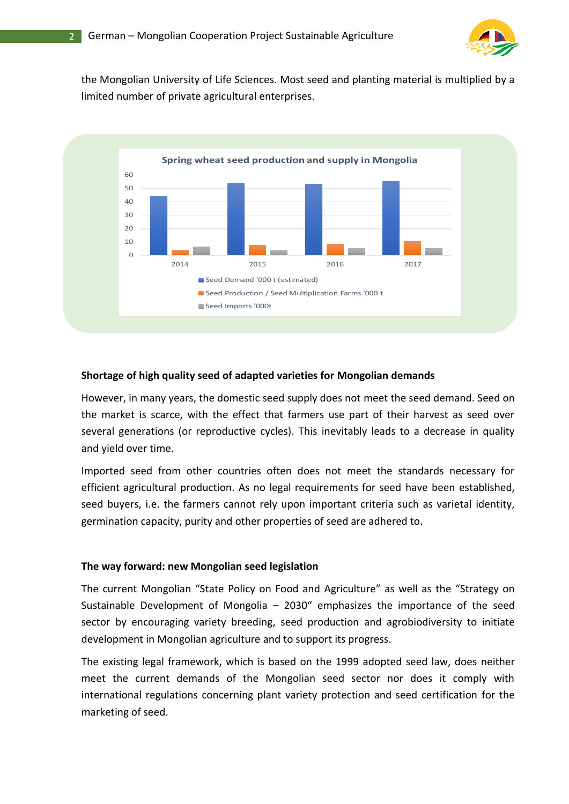

the Mongolian University of Life Sciences. Most seed and planting material is multiplied by a limited number of private agricultural enterprises.



### **Shortage of high quality seed of adapted varieties for Mongolian demands**

However, in many years, the domestic seed supply does not meet the seed demand. Seed on the market is scarce, with the effect that farmers use part of their harvest as seed over several generations (or reproductive cycles). This inevitably leads to a decrease in quality and yield over time.

Imported seed from other countries often does not meet the standards necessary for efficient agricultural production. As no legal requirements for seed have been established, seed buyers, i.e. the farmers cannot rely upon important criteria such as varietal identity, germination capacity, purity and other properties of seed are adhered to.

#### **The way forward: new Mongolian seed legislation**

The current Mongolian "State Policy on Food and Agriculture" as well as the "Strategy on Sustainable Development of Mongolia – 2030" emphasizes the importance of the seed sector by encouraging variety breeding, seed production and agrobiodiversity to initiate development in Mongolian agriculture and to support its progress.

The existing legal framework, which is based on the 1999 adopted seed law, does neither meet the current demands of the Mongolian seed sector nor does it comply with international regulations concerning plant variety protection and seed certification for the marketing of seed.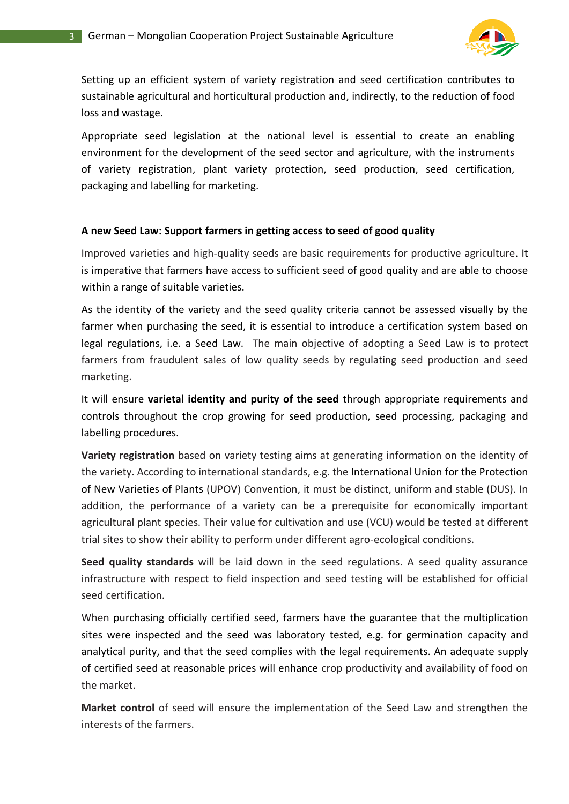

Setting up an efficient system of variety registration and seed certification contributes to sustainable agricultural and horticultural production and, indirectly, to the reduction of food loss and wastage.

Appropriate seed legislation at the national level is essential to create an enabling environment for the development of the seed sector and agriculture, with the instruments of variety registration, plant variety protection, seed production, seed certification, packaging and labelling for marketing.

### **A new Seed Law: Support farmers in getting access to seed of good quality**

Improved varieties and high-quality seeds are basic requirements for productive agriculture. It is imperative that farmers have access to sufficient seed of good quality and are able to choose within a range of suitable varieties.

As the identity of the variety and the seed quality criteria cannot be assessed visually by the farmer when purchasing the seed, it is essential to introduce a certification system based on legal regulations, i.e. a Seed Law. The main objective of adopting a Seed Law is to protect farmers from fraudulent sales of low quality seeds by regulating seed production and seed marketing.

It will ensure **varietal identity and purity of the seed** through appropriate requirements and controls throughout the crop growing for seed production, seed processing, packaging and labelling procedures.

**Variety registration** based on variety testing aims at generating information on the identity of the variety. According to international standards, e.g. the International Union for the Protection of New Varieties of Plants (UPOV) Convention, it must be distinct, uniform and stable (DUS). In addition, the performance of a variety can be a prerequisite for economically important agricultural plant species. Their value for cultivation and use (VCU) would be tested at different trial sites to show their ability to perform under different agro-ecological conditions.

**Seed quality standards** will be laid down in the seed regulations. A seed quality assurance infrastructure with respect to field inspection and seed testing will be established for official seed certification.

When purchasing officially certified seed, farmers have the guarantee that the multiplication sites were inspected and the seed was laboratory tested, e.g. for germination capacity and analytical purity, and that the seed complies with the legal requirements. An adequate supply of certified seed at reasonable prices will enhance crop productivity and availability of food on the market.

**Market control** of seed will ensure the implementation of the Seed Law and strengthen the interests of the farmers.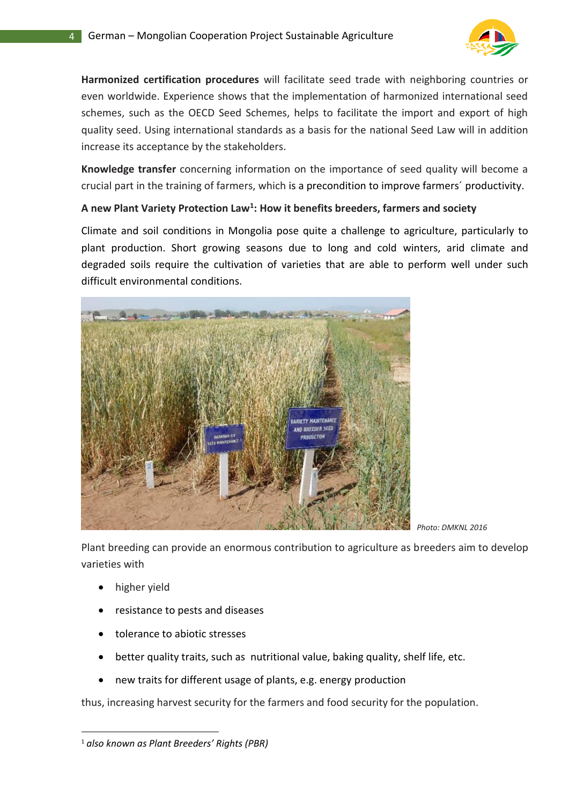

**Harmonized certification procedures** will facilitate seed trade with neighboring countries or even worldwide. Experience shows that the implementation of harmonized international seed schemes, such as the OECD Seed Schemes, helps to facilitate the import and export of high quality seed. Using international standards as a basis for the national Seed Law will in addition increase its acceptance by the stakeholders.

**Knowledge transfer** concerning information on the importance of seed quality will become a crucial part in the training of farmers, which is a precondition to improve farmers´ productivity.

## **A new Plant Variety Protection Law<sup>1</sup> : How it benefits breeders, farmers and society**

Climate and soil conditions in Mongolia pose quite a challenge to agriculture, particularly to plant production. Short growing seasons due to long and cold winters, arid climate and degraded soils require the cultivation of varieties that are able to perform well under such difficult environmental conditions.



*Photo: DMKNL 2016*

Plant breeding can provide an enormous contribution to agriculture as breeders aim to develop varieties with

• higher yield

 $\overline{a}$ 

- resistance to pests and diseases
- tolerance to abiotic stresses
- better quality traits, such as nutritional value, baking quality, shelf life, etc.
- new traits for different usage of plants, e.g. energy production

thus, increasing harvest security for the farmers and food security for the population.

<sup>1</sup> *also known as Plant Breeders' Rights (PBR)*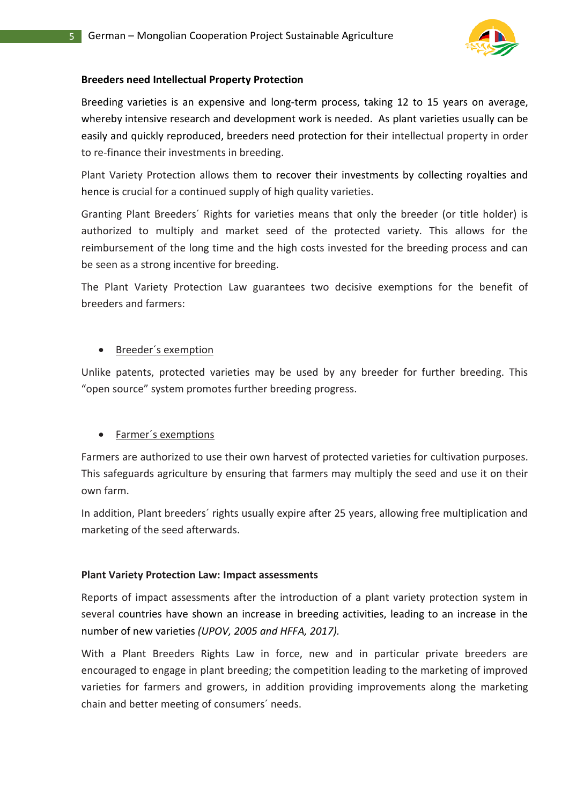

### **Breeders need Intellectual Property Protection**

Breeding varieties is an expensive and long-term process, taking 12 to 15 years on average, whereby intensive research and development work is needed. As plant varieties usually can be easily and quickly reproduced, breeders need protection for their intellectual property in order to re-finance their investments in breeding.

Plant Variety Protection allows them to recover their investments by collecting royalties and hence is crucial for a continued supply of high quality varieties.

Granting Plant Breeders´ Rights for varieties means that only the breeder (or title holder) is authorized to multiply and market seed of the protected variety. This allows for the reimbursement of the long time and the high costs invested for the breeding process and can be seen as a strong incentive for breeding.

The Plant Variety Protection Law guarantees two decisive exemptions for the benefit of breeders and farmers:

## • Breeder´s exemption

Unlike patents, protected varieties may be used by any breeder for further breeding. This "open source" system promotes further breeding progress.

## • Farmer´s exemptions

Farmers are authorized to use their own harvest of protected varieties for cultivation purposes. This safeguards agriculture by ensuring that farmers may multiply the seed and use it on their own farm.

In addition, Plant breeders´ rights usually expire after 25 years, allowing free multiplication and marketing of the seed afterwards.

### **Plant Variety Protection Law: Impact assessments**

Reports of impact assessments after the introduction of a plant variety protection system in several countries have shown an increase in breeding activities, leading to an increase in the number of new varieties *(UPOV, 2005 and HFFA, 2017).*

With a Plant Breeders Rights Law in force, new and in particular private breeders are encouraged to engage in plant breeding; the competition leading to the marketing of improved varieties for farmers and growers, in addition providing improvements along the marketing chain and better meeting of consumers´ needs.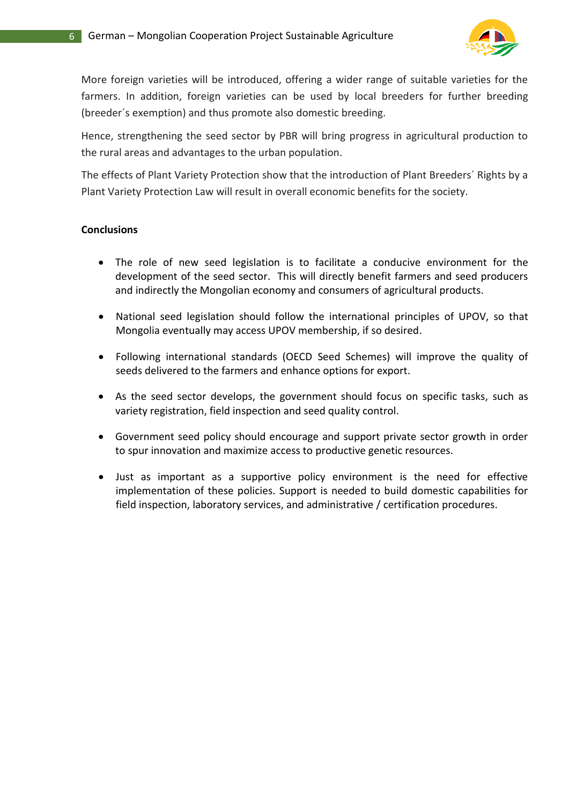

More foreign varieties will be introduced, offering a wider range of suitable varieties for the farmers. In addition, foreign varieties can be used by local breeders for further breeding (breeder´s exemption) and thus promote also domestic breeding.

Hence, strengthening the seed sector by PBR will bring progress in agricultural production to the rural areas and advantages to the urban population.

The effects of Plant Variety Protection show that the introduction of Plant Breeders´ Rights by a Plant Variety Protection Law will result in overall economic benefits for the society.

### **Conclusions**

- The role of new seed legislation is to facilitate a conducive environment for the development of the seed sector. This will directly benefit farmers and seed producers and indirectly the Mongolian economy and consumers of agricultural products.
- National seed legislation should follow the international principles of UPOV, so that Mongolia eventually may access UPOV membership, if so desired.
- Following international standards (OECD Seed Schemes) will improve the quality of seeds delivered to the farmers and enhance options for export.
- As the seed sector develops, the government should focus on specific tasks, such as variety registration, field inspection and seed quality control.
- Government seed policy should encourage and support private sector growth in order to spur innovation and maximize access to productive genetic resources.
- Just as important as a supportive policy environment is the need for effective implementation of these policies. Support is needed to build domestic capabilities for field inspection, laboratory services, and administrative / certification procedures.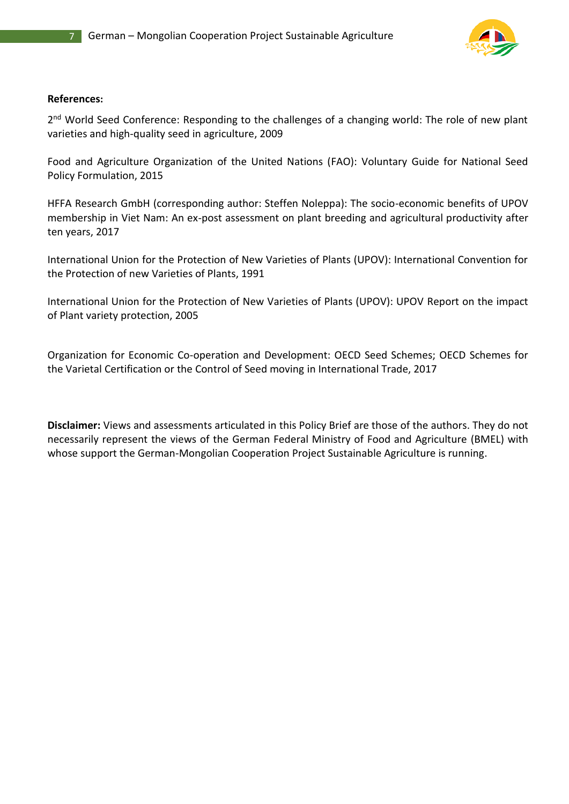

#### **References:**

2<sup>nd</sup> World Seed Conference: Responding to the challenges of a changing world: The role of new plant varieties and high-quality seed in agriculture, 2009

Food and Agriculture Organization of the United Nations (FAO): Voluntary Guide for National Seed Policy Formulation, 2015

HFFA Research GmbH (corresponding author: Steffen Noleppa): The socio-economic benefits of UPOV membership in Viet Nam: An ex-post assessment on plant breeding and agricultural productivity after ten years, 2017

International Union for the Protection of New Varieties of Plants (UPOV): International Convention for the Protection of new Varieties of Plants, 1991

International Union for the Protection of New Varieties of Plants (UPOV): UPOV Report on the impact of Plant variety protection, 2005

Organization for Economic Co-operation and Development: OECD Seed Schemes; OECD Schemes for the Varietal Certification or the Control of Seed moving in International Trade, 2017

**Disclaimer:** Views and assessments articulated in this Policy Brief are those of the authors. They do not necessarily represent the views of the German Federal Ministry of Food and Agriculture (BMEL) with whose support the German-Mongolian Cooperation Project Sustainable Agriculture is running.